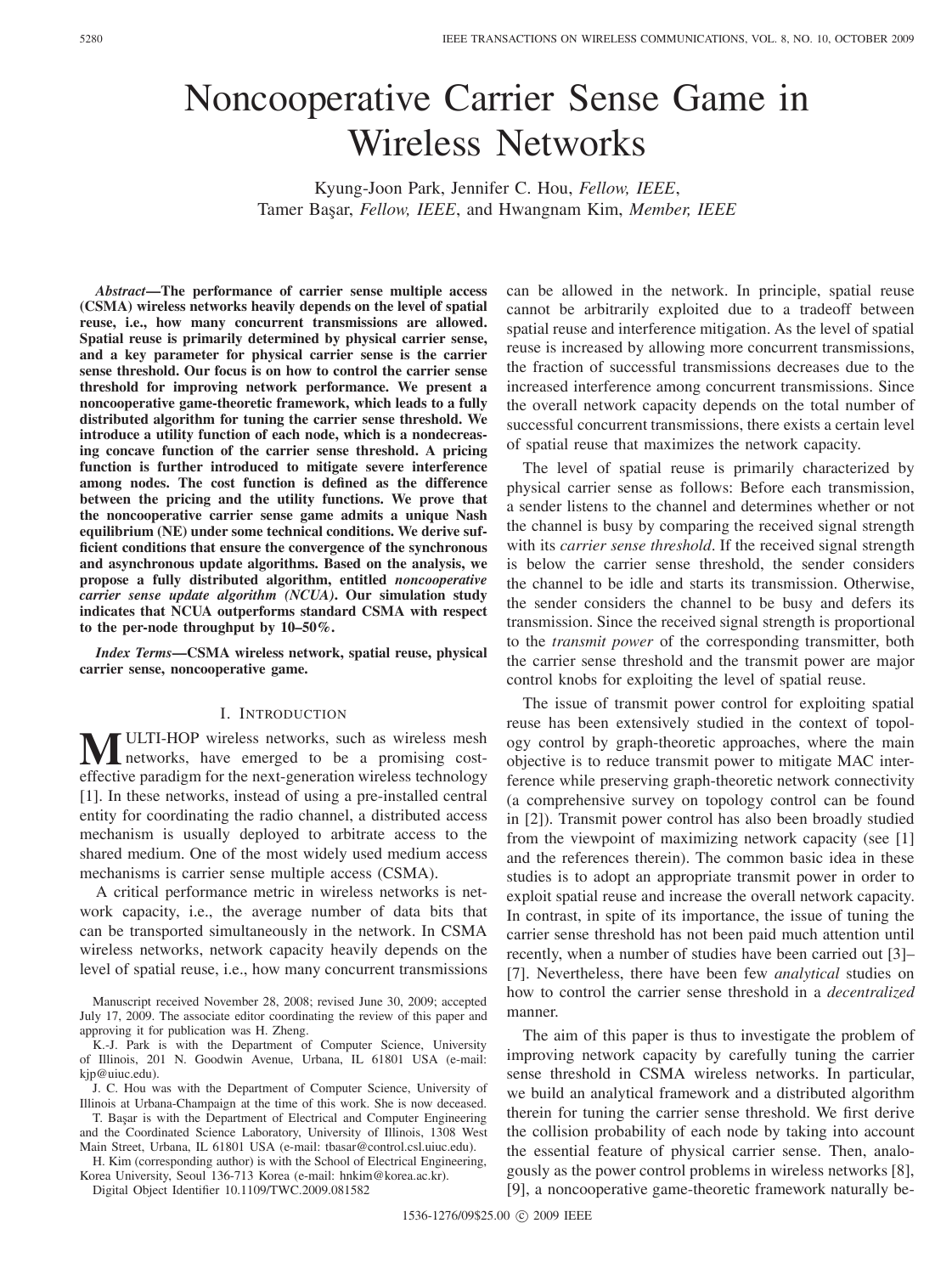# Noncooperative Carrier Sense Game in Wireless Networks

Kyung-Joon Park, Jennifer C. Hou, *Fellow, IEEE*, Tamer Ba¸sar, *Fellow, IEEE*, and Hwangnam Kim, *Member, IEEE*

*Abstract***—The performance of carrier sense multiple access (CSMA) wireless networks heavily depends on the level of spatial reuse, i.e., how many concurrent transmissions are allowed. Spatial reuse is primarily determined by physical carrier sense, and a key parameter for physical carrier sense is the carrier sense threshold. Our focus is on how to control the carrier sense threshold for improving network performance. We present a noncooperative game-theoretic framework, which leads to a fully distributed algorithm for tuning the carrier sense threshold. We introduce a utility function of each node, which is a nondecreasing concave function of the carrier sense threshold. A pricing function is further introduced to mitigate severe interference among nodes. The cost function is defined as the difference between the pricing and the utility functions. We prove that the noncooperative carrier sense game admits a unique Nash equilibrium (NE) under some technical conditions. We derive sufficient conditions that ensure the convergence of the synchronous and asynchronous update algorithms. Based on the analysis, we propose a fully distributed algorithm, entitled** *noncooperative carrier sense update algorithm (NCUA)***. Our simulation study indicates that NCUA outperforms standard CSMA with respect to the per-node throughput by 10–50%.**

*Index Terms***—CSMA wireless network, spatial reuse, physical carrier sense, noncooperative game.**

## I. INTRODUCTION

**M** ULTI-HOP wireless networks, such as wireless mesh networks, have emerged to be a promising costeffective paradigm for the next-generation wireless technology [1]. In these networks, instead of using a pre-installed central entity for coordinating the radio channel, a distributed access mechanism is usually deployed to arbitrate access to the shared medium. One of the most widely used medium access mechanisms is carrier sense multiple access (CSMA).

A critical performance metric in wireless networks is network capacity, i.e., the average number of data bits that can be transported simultaneously in the network. In CSMA wireless networks, network capacity heavily depends on the level of spatial reuse, i.e., how many concurrent transmissions

K.-J. Park is with the Department of Computer Science, University of Illinois, 201 N. Goodwin Avenue, Urbana, IL 61801 USA (e-mail: kjp@uiuc.edu).

J. C. Hou was with the Department of Computer Science, University of Illinois at Urbana-Champaign at the time of this work. She is now deceased.

T. Başar is with the Department of Electrical and Computer Engineering and the Coordinated Science Laboratory, University of Illinois, 1308 West Main Street, Urbana, IL 61801 USA (e-mail: tbasar@control.csl.uiuc.edu).

H. Kim (corresponding author) is with the School of Electrical Engineering, Korea University, Seoul 136-713 Korea (e-mail: hnkim@korea.ac.kr).

Digital Object Identifier 10.1109/TWC.2009.081582

can be allowed in the network. In principle, spatial reuse cannot be arbitrarily exploited due to a tradeoff between spatial reuse and interference mitigation. As the level of spatial reuse is increased by allowing more concurrent transmissions, the fraction of successful transmissions decreases due to the increased interference among concurrent transmissions. Since the overall network capacity depends on the total number of successful concurrent transmissions, there exists a certain level of spatial reuse that maximizes the network capacity.

The level of spatial reuse is primarily characterized by physical carrier sense as follows: Before each transmission, a sender listens to the channel and determines whether or not the channel is busy by comparing the received signal strength with its *carrier sense threshold*. If the received signal strength is below the carrier sense threshold, the sender considers the channel to be idle and starts its transmission. Otherwise, the sender considers the channel to be busy and defers its transmission. Since the received signal strength is proportional to the *transmit power* of the corresponding transmitter, both the carrier sense threshold and the transmit power are major control knobs for exploiting the level of spatial reuse.

The issue of transmit power control for exploiting spatial reuse has been extensively studied in the context of topology control by graph-theoretic approaches, where the main objective is to reduce transmit power to mitigate MAC interference while preserving graph-theoretic network connectivity (a comprehensive survey on topology control can be found in [2]). Transmit power control has also been broadly studied from the viewpoint of maximizing network capacity (see [1] and the references therein). The common basic idea in these studies is to adopt an appropriate transmit power in order to exploit spatial reuse and increase the overall network capacity. In contrast, in spite of its importance, the issue of tuning the carrier sense threshold has not been paid much attention until recently, when a number of studies have been carried out [3]– [7]. Nevertheless, there have been few *analytical* studies on how to control the carrier sense threshold in a *decentralized* manner.

The aim of this paper is thus to investigate the problem of improving network capacity by carefully tuning the carrier sense threshold in CSMA wireless networks. In particular, we build an analytical framework and a distributed algorithm therein for tuning the carrier sense threshold. We first derive the collision probability of each node by taking into account the essential feature of physical carrier sense. Then, analogously as the power control problems in wireless networks [8], [9], a noncooperative game-theoretic framework naturally be-

Manuscript received November 28, 2008; revised June 30, 2009; accepted July 17, 2009. The associate editor coordinating the review of this paper and approving it for publication was H. Zheng.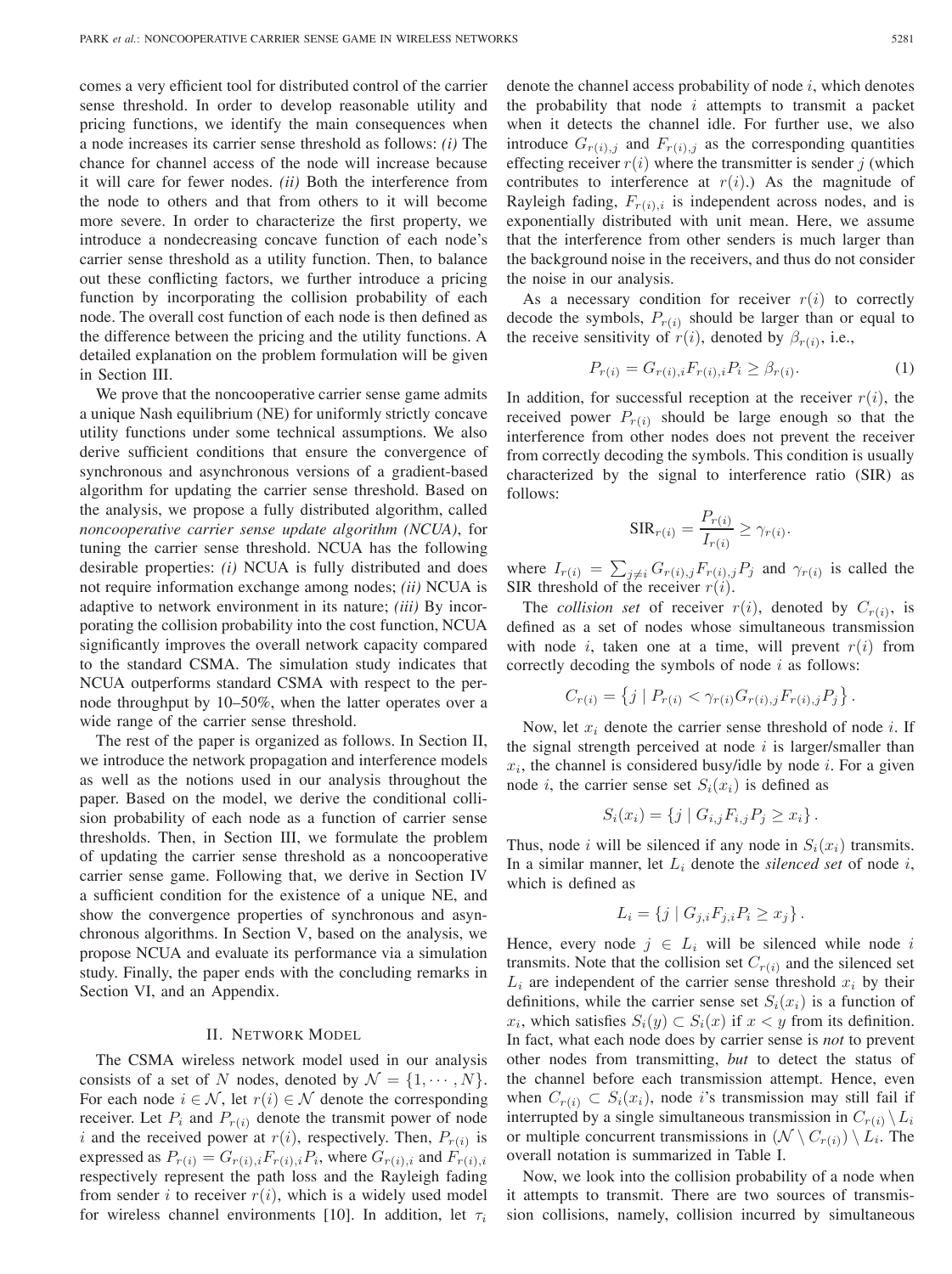comes a very efficient tool for distributed control of the carrier sense threshold. In order to develop reasonable utility and pricing functions, we identify the main consequences when a node increases its carrier sense threshold as follows: *(i)* The chance for channel access of the node will increase because it will care for fewer nodes. *(ii)* Both the interference from the node to others and that from others to it will become more severe. In order to characterize the first property, we introduce a nondecreasing concave function of each node's carrier sense threshold as a utility function. Then, to balance out these conflicting factors, we further introduce a pricing function by incorporating the collision probability of each node. The overall cost function of each node is then defined as the difference between the pricing and the utility functions. A detailed explanation on the problem formulation will be given in Section III.

We prove that the noncooperative carrier sense game admits a unique Nash equilibrium (NE) for uniformly strictly concave utility functions under some technical assumptions. We also derive sufficient conditions that ensure the convergence of synchronous and asynchronous versions of a gradient-based algorithm for updating the carrier sense threshold. Based on the analysis, we propose a fully distributed algorithm, called *noncooperative carrier sense update algorithm (NCUA)*, for tuning the carrier sense threshold. NCUA has the following desirable properties: *(i)* NCUA is fully distributed and does not require information exchange among nodes; *(ii)* NCUA is adaptive to network environment in its nature; *(iii)* By incorporating the collision probability into the cost function, NCUA significantly improves the overall network capacity compared to the standard CSMA. The simulation study indicates that NCUA outperforms standard CSMA with respect to the pernode throughput by 10–50%, when the latter operates over a wide range of the carrier sense threshold.

The rest of the paper is organized as follows. In Section II, we introduce the network propagation and interference models as well as the notions used in our analysis throughout the paper. Based on the model, we derive the conditional collision probability of each node as a function of carrier sense thresholds. Then, in Section III, we formulate the problem of updating the carrier sense threshold as a noncooperative carrier sense game. Following that, we derive in Section IV a sufficient condition for the existence of a unique NE, and show the convergence properties of synchronous and asynchronous algorithms. In Section V, based on the analysis, we propose NCUA and evaluate its performance via a simulation study. Finally, the paper ends with the concluding remarks in Section VI, and an Appendix.

## II. NETWORK MODEL

The CSMA wireless network model used in our analysis consists of a set of N nodes, denoted by  $\mathcal{N} = \{1, \dots, N\}.$ For each node  $i \in \mathcal{N}$ , let  $r(i) \in \mathcal{N}$  denote the corresponding receiver. Let  $P_i$  and  $P_{r(i)}$  denote the transmit power of node i and the received power at  $r(i)$ , respectively. Then,  $P_{r(i)}$  is expressed as  $P_{r(i)} = G_{r(i),i} F_{r(i),i} P_i$ , where  $G_{r(i),i}$  and  $F_{r(i),i}$ respectively represent the path loss and the Rayleigh fading from sender *i* to receiver  $r(i)$ , which is a widely used model for wireless channel environments [10]. In addition, let  $\tau_i$ 

denote the channel access probability of node  $i$ , which denotes the probability that node  $i$  attempts to transmit a packet when it detects the channel idle. For further use, we also introduce  $G_{r(i), j}$  and  $F_{r(i), j}$  as the corresponding quantities effecting receiver  $r(i)$  where the transmitter is sender  $j$  (which contributes to interference at  $r(i)$ .) As the magnitude of Rayleigh fading,  $F_{r(i), i}$  is independent across nodes, and is exponentially distributed with unit mean. Here, we assume that the interference from other senders is much larger than the background noise in the receivers, and thus do not consider the noise in our analysis.

As a necessary condition for receiver  $r(i)$  to correctly decode the symbols,  $P_{r(i)}$  should be larger than or equal to the receive sensitivity of  $r(i)$ , denoted by  $\beta_{r(i)}$ , i.e.,

$$
P_{r(i)} = G_{r(i),i} F_{r(i),i} P_i \ge \beta_{r(i)}.
$$
\n(1)

In addition, for successful reception at the receiver  $r(i)$ , the received power  $P_{r(i)}$  should be large enough so that the interference from other nodes does not prevent the receiver from correctly decoding the symbols. This condition is usually characterized by the signal to interference ratio (SIR) as follows:

$$
SIR_{r(i)} = \frac{P_{r(i)}}{I_{r(i)}} \ge \gamma_{r(i)}.
$$

where  $I_{r(i)} = \sum_{j \neq i} G_{r(i),j} F_{r(i),j} P_j$  and  $\gamma_{r(i)}$  is called the SIR threshold of the receiver  $r(i)$ .

The *collision set* of receiver  $r(i)$ , denoted by  $C_{r(i)}$ , is defined as a set of nodes whose simultaneous transmission with node i, taken one at a time, will prevent  $r(i)$  from correctly decoding the symbols of node  $i$  as follows:

$$
C_{r(i)} = \{ j \mid P_{r(i)} < \gamma_{r(i)} G_{r(i),j} F_{r(i),j} P_j \} \, .
$$

Now, let  $x_i$  denote the carrier sense threshold of node i. If the signal strength perceived at node  $i$  is larger/smaller than  $x_i$ , the channel is considered busy/idle by node *i*. For a given node i, the carrier sense set  $S_i(x_i)$  is defined as

$$
S_i(x_i) = \{ j \mid G_{i,j} F_{i,j} P_j \ge x_i \}.
$$

Thus, node *i* will be silenced if any node in  $S_i(x_i)$  transmits. In a similar manner, let  $L_i$  denote the *silenced set* of node  $i$ , which is defined as

$$
L_i = \{j \mid G_{j,i}F_{j,i}P_i \ge x_j\}.
$$

Hence, every node  $j \in L_i$  will be silenced while node i transmits. Note that the collision set  $C_{r(i)}$  and the silenced set  $L_i$  are independent of the carrier sense threshold  $x_i$  by their definitions, while the carrier sense set  $S_i(x_i)$  is a function of  $x_i$ , which satisfies  $S_i(y) \subset S_i(x)$  if  $x < y$  from its definition. In fact, what each node does by carrier sense is *not* to prevent other nodes from transmitting, *but* to detect the status of the channel before each transmission attempt. Hence, even when  $C_{r(i)} \subset S_i(x_i)$ , node i's transmission may still fail if interrupted by a single simultaneous transmission in  $C_{r(i)} \setminus L_i$ or multiple concurrent transmissions in  $(\mathcal{N} \setminus C_{r(i)}) \setminus L_i$ . The overall notation is summarized in Table I.

Now, we look into the collision probability of a node when it attempts to transmit. There are two sources of transmission collisions, namely, collision incurred by simultaneous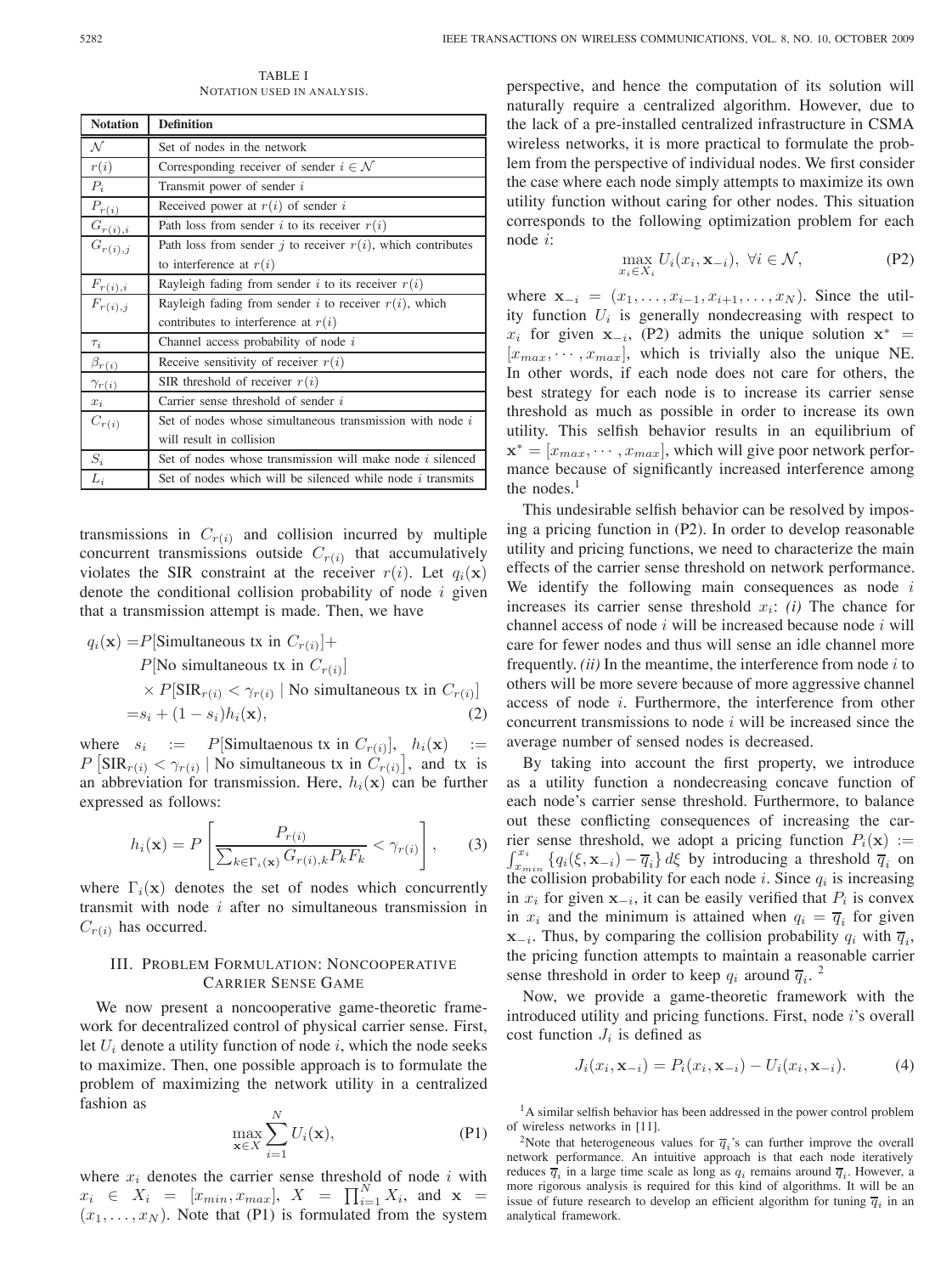| <b>TABLE I</b>             |
|----------------------------|
| NOTATION USED IN ANALYSIS. |

| <b>Notation</b>      | <b>Definition</b>                                              |  |  |
|----------------------|----------------------------------------------------------------|--|--|
| $\mathcal N$         | Set of nodes in the network                                    |  |  |
| r(i)                 | Corresponding receiver of sender $i \in \mathcal{N}$           |  |  |
| $P_i$                | Transmit power of sender i                                     |  |  |
| $P_{r(i)}$           | Received power at $r(i)$ of sender i                           |  |  |
| $G_{r(i),i}$         | Path loss from sender i to its receiver $r(i)$                 |  |  |
| $G_{r(i),j}$         | Path loss from sender j to receiver $r(i)$ , which contributes |  |  |
|                      | to interference at $r(i)$                                      |  |  |
| $F_{r(i),i}$         | Rayleigh fading from sender i to its receiver $r(i)$           |  |  |
| $F_{r(i),j}$         | Rayleigh fading from sender i to receiver $r(i)$ , which       |  |  |
|                      | contributes to interference at $r(i)$                          |  |  |
| $\tau_i$             | Channel access probability of node $i$                         |  |  |
| $\beta_{r(i)}$       | Receive sensitivity of receiver $r(i)$                         |  |  |
| $\gamma_{r(i)}$      | SIR threshold of receiver $r(i)$                               |  |  |
| $x_i$                | Carrier sense threshold of sender $i$                          |  |  |
| $\mathcal{C}_{r(i)}$ | Set of nodes whose simultaneous transmission with node $i$     |  |  |
|                      | will result in collision                                       |  |  |
| $S_i$                | Set of nodes whose transmission will make node i silenced      |  |  |
| $L_i$                | Set of nodes which will be silenced while node i transmits     |  |  |

transmissions in  $C_{r(i)}$  and collision incurred by multiple concurrent transmissions outside  $C_{r(i)}$  that accumulatively violates the SIR constraint at the receiver  $r(i)$ . Let  $q_i(\mathbf{x})$ denote the conditional collision probability of node  $i$  given that a transmission attempt is made. Then, we have

$$
q_i(\mathbf{x}) = P[\text{Simultaneous tx in } C_{r(i)}] + P[\text{No simultaneous tx in } C_{r(i)}] \times P[\text{SIR}_{r(i)} < \gamma_{r(i)} \mid \text{No simultaneous tx in } C_{r(i)}] = s_i + (1 - s_i)h_i(\mathbf{x}), \tag{2}
$$

where  $s_i$  :=  $P[\text{Simultaenous tx in } C_{r(i)}], h_i(\mathbf{x})$  :=  $P[\text{SIR}_{r(i)} < \gamma_{r(i)} |$  No simultaneous tx in  $C_{r(i)}$ , and tx is an abbreviation for transmission. Here,  $h_i(\mathbf{x})$  can be further expressed as follows:

$$
h_i(\mathbf{x}) = P\left[\frac{P_{r(i)}}{\sum_{k \in \Gamma_i(\mathbf{x})} G_{r(i),k} P_k F_k} < \gamma_{r(i)}\right],\tag{3}
$$

where  $\Gamma_i(\mathbf{x})$  denotes the set of nodes which concurrently transmit with node  $i$  after no simultaneous transmission in  $C_{r(i)}$  has occurred.

# III. PROBLEM FORMULATION: NONCOOPERATIVE CARRIER SENSE GAME

We now present a noncooperative game-theoretic framework for decentralized control of physical carrier sense. First, let  $U_i$  denote a utility function of node i, which the node seeks to maximize. Then, one possible approach is to formulate the problem of maximizing the network utility in a centralized fashion as

$$
\max_{\mathbf{x} \in X} \sum_{i=1}^{N} U_i(\mathbf{x}),\tag{P1}
$$

where  $x_i$  denotes the carrier sense threshold of node  $i$  with  $x_i \in X_i = [x_{min}, x_{max}], X = \prod_{i=1}^{N} X_i$ , and  $\mathbf{x} =$  $(x_1,..., x_N)$ . Note that (P1) is formulated from the system

perspective, and hence the computation of its solution will naturally require a centralized algorithm. However, due to the lack of a pre-installed centralized infrastructure in CSMA wireless networks, it is more practical to formulate the problem from the perspective of individual nodes. We first consider the case where each node simply attempts to maximize its own utility function without caring for other nodes. This situation corresponds to the following optimization problem for each node  $i$ :

$$
\max_{x_i \in X_i} U_i(x_i, \mathbf{x}_{-i}), \ \forall i \in \mathcal{N},
$$
\n<sup>(P2)</sup>

where  $\mathbf{x}_{-i} = (x_1, \ldots, x_{i-1}, x_{i+1}, \ldots, x_N)$ . Since the utility function  $U_i$  is generally nondecreasing with respect to  $x_i$  for given  $x_{-i}$ , (P2) admits the unique solution  $x^*$  =  $[x_{max}, \dots, x_{max}]$ , which is trivially also the unique NE. In other words, if each node does not care for others, the best strategy for each node is to increase its carrier sense threshold as much as possible in order to increase its own utility. This selfish behavior results in an equilibrium of  $\mathbf{x}^* = [x_{max}, \cdots, x_{max}]$ , which will give poor network performance because of significantly increased interference among the nodes. $<sup>1</sup>$ </sup>

This undesirable selfish behavior can be resolved by imposing a pricing function in (P2). In order to develop reasonable utility and pricing functions, we need to characterize the main effects of the carrier sense threshold on network performance. We identify the following main consequences as node  $i$ increases its carrier sense threshold  $x_i$ : *(i)* The chance for channel access of node  $i$  will be increased because node  $i$  will care for fewer nodes and thus will sense an idle channel more frequently.  $(ii)$  In the meantime, the interference from node  $i$  to others will be more severe because of more aggressive channel access of node  $i$ . Furthermore, the interference from other concurrent transmissions to node  $i$  will be increased since the average number of sensed nodes is decreased.

By taking into account the first property, we introduce as a utility function a nondecreasing concave function of each node's carrier sense threshold. Furthermore, to balance out these conflicting consequences of increasing the carrier sense threshold, we adopt a pricing function  $P_i(\mathbf{x}) :=$  $\int_{x_{min}}^{x_i} \{q_i(\xi, \mathbf{x}_{-i}) - \overline{q}_i\} d\xi$  by introducing a threshold  $\overline{q}_i$  on the collision probability for each node  $i$ . Since  $q_i$  is increasing in  $x_i$  for given  $\mathbf{x}_{-i}$ , it can be easily verified that  $P_i$  is convex in  $x_i$  and the minimum is attained when  $q_i = \overline{q}_i$  for given **x**−i. Thus, by comparing the collision probability  $q_i$  with  $\overline{q}_i$ , the pricing function attempts to maintain a reasonable carrier sense threshold in order to keep  $q_i$  around  $\overline{q}_i$ . <sup>2</sup>

Now, we provide a game-theoretic framework with the introduced utility and pricing functions. First, node  $i$ 's overall cost function  $J_i$  is defined as

$$
J_i(x_i, \mathbf{x}_{-i}) = P_i(x_i, \mathbf{x}_{-i}) - U_i(x_i, \mathbf{x}_{-i}).
$$
 (4)

<sup>1</sup>A similar selfish behavior has been addressed in the power control problem of wireless networks in [11].

<sup>2</sup>Note that heterogeneous values for  $\overline{q}_i$ 's can further improve the overall network performance. An intuitive approach is that each node iteratively reduces  $\overline{q}_i$  in a large time scale as long as  $q_i$  remains around  $\overline{q}_i$ . However, a more rigorous analysis is required for this kind of algorithms. It will be an issue of future research to develop an efficient algorithm for tuning  $\overline{q}_i$  in an analytical framework.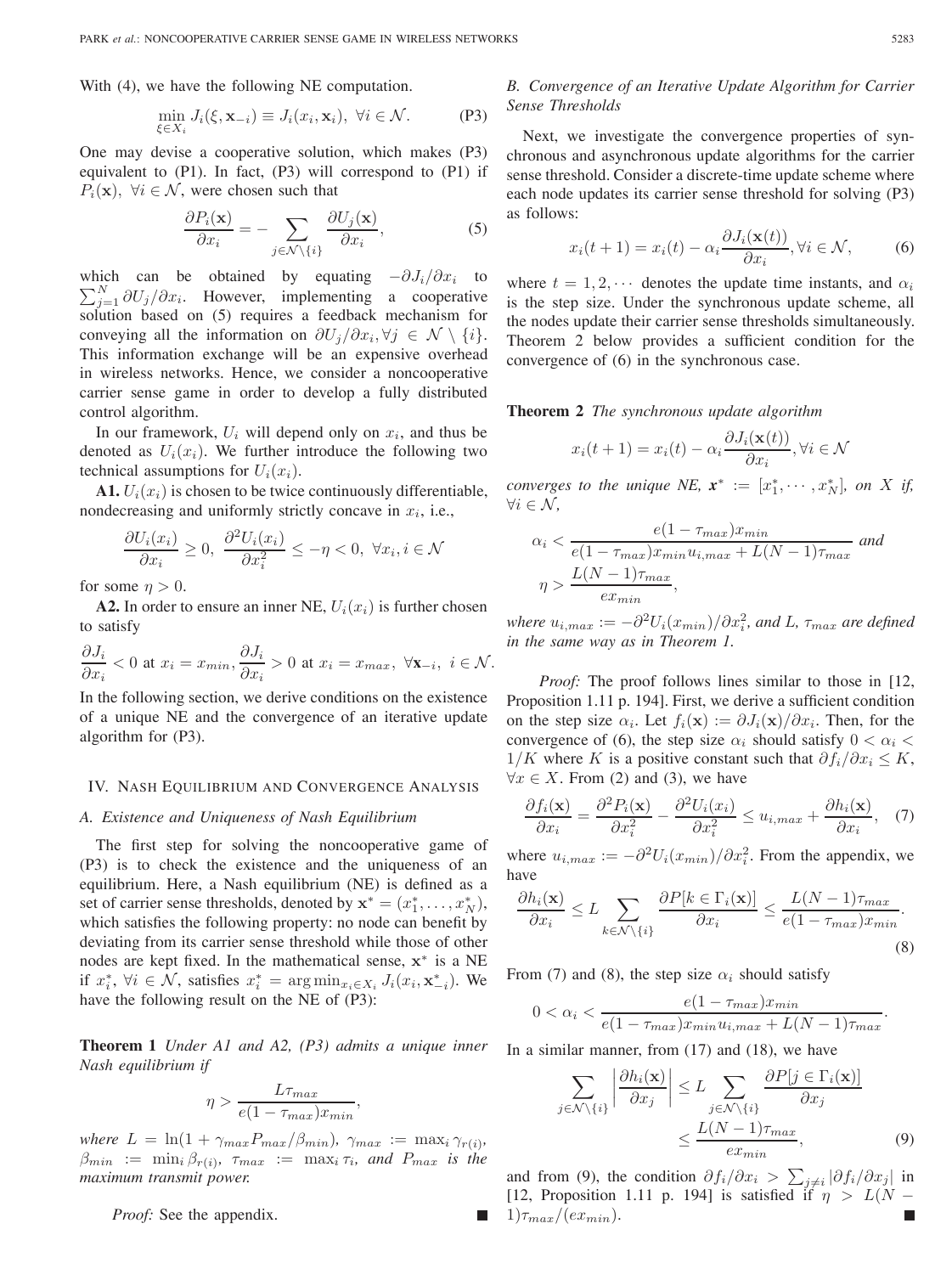With (4), we have the following NE computation.

$$
\min_{\xi \in X_i} J_i(\xi, \mathbf{x}_{-i}) \equiv J_i(x_i, \mathbf{x}_i), \ \forall i \in \mathcal{N}.
$$
 (P3)

One may devise a cooperative solution, which makes (P3) equivalent to (P1). In fact, (P3) will correspond to (P1) if  $P_i(\mathbf{x}), \forall i \in \mathcal{N}$ , were chosen such that

$$
\frac{\partial P_i(\mathbf{x})}{\partial x_i} = -\sum_{j \in \mathcal{N} \setminus \{i\}} \frac{\partial U_j(\mathbf{x})}{\partial x_i},\tag{5}
$$

which can be obtained by equating  $-\partial J_i/\partial x_i$  to  $\sum_{j=1}^{N} \frac{\partial U_j}{\partial x_i}$ . However, implementing a cooperative solution based on (5) requires a feedback mechanism for conveying all the information on  $\partial U_i/\partial x_i, \forall j \in \mathcal{N} \setminus \{i\}.$ This information exchange will be an expensive overhead in wireless networks. Hence, we consider a noncooperative carrier sense game in order to develop a fully distributed control algorithm.

In our framework,  $U_i$  will depend only on  $x_i$ , and thus be denoted as  $U_i(x_i)$ . We further introduce the following two technical assumptions for  $U_i(x_i)$ .

**A1.**  $U_i(x_i)$  is chosen to be twice continuously differentiable, nondecreasing and uniformly strictly concave in  $x_i$ , i.e.,

$$
\frac{\partial U_i(x_i)}{\partial x_i} \ge 0, \ \frac{\partial^2 U_i(x_i)}{\partial x_i^2} \le -\eta < 0, \ \forall x_i, i \in \mathcal{N}
$$

for some  $\eta > 0$ .

**A2.** In order to ensure an inner NE,  $U_i(x_i)$  is further chosen to satisfy

$$
\frac{\partial J_i}{\partial x_i} < 0 \text{ at } x_i = x_{min}, \frac{\partial J_i}{\partial x_i} > 0 \text{ at } x_i = x_{max}, \ \forall \mathbf{x}_{-i}, \ i \in \mathcal{N}.
$$

In the following section, we derive conditions on the existence of a unique NE and the convergence of an iterative update algorithm for (P3).

## IV. NASH EQUILIBRIUM AND CONVERGENCE ANALYSIS

#### *A. Existence and Uniqueness of Nash Equilibrium*

The first step for solving the noncooperative game of (P3) is to check the existence and the uniqueness of an equilibrium. Here, a Nash equilibrium (NE) is defined as a set of carrier sense thresholds, denoted by  $\mathbf{x}^* = (x_1^*, \dots, x_N^*)$ , which satisfies the following property: no node can benefit by deviating from its carrier sense threshold while those of other nodes are kept fixed. In the mathematical sense, **x**<sup>∗</sup> is a NE if  $x_i^*$ ,  $\forall i \in \mathcal{N}$ , satisfies  $x_i^* = \arg \min_{x_i \in X_i} J_i(x_i, \mathbf{x}_{-i}^*)$ . We have the following result on the NE of (P3):

**Theorem 1** *Under A1 and A2, (P3) admits a unique inner Nash equilibrium if*

$$
\eta > \frac{L\tau_{max}}{e(1 - \tau_{max})x_{min}}
$$

,

*where*  $L = \ln(1 + \gamma_{max} P_{max} / \beta_{min})$ ,  $\gamma_{max} := \max_i \gamma_{r(i)}$ ,  $\beta_{min} := \min_i \beta_{r(i)}, \tau_{max} := \max_i \tau_i$ , and  $P_{max}$  is the *maximum transmit power.*

*Proof:* See the appendix.

# *B. Convergence of an Iterative Update Algorithm for Carrier Sense Thresholds*

Next, we investigate the convergence properties of synchronous and asynchronous update algorithms for the carrier sense threshold. Consider a discrete-time update scheme where each node updates its carrier sense threshold for solving (P3) as follows:

$$
x_i(t+1) = x_i(t) - \alpha_i \frac{\partial J_i(\mathbf{x}(t))}{\partial x_i}, \forall i \in \mathcal{N},
$$
 (6)

where  $t = 1, 2, \cdots$  denotes the update time instants, and  $\alpha_i$ is the step size. Under the synchronous update scheme, all the nodes update their carrier sense thresholds simultaneously. Theorem 2 below provides a sufficient condition for the convergence of (6) in the synchronous case.

**Theorem 2** *The synchronous update algorithm*

$$
x_i(t+1) = x_i(t) - \alpha_i \frac{\partial J_i(\mathbf{x}(t))}{\partial x_i}, \forall i \in \mathcal{N}
$$

*converges to the unique NE,*  $\mathbf{x}^* := [x_1^*, \cdots, x_N^*]$ *, on X* if,  $\forall i \in \mathcal{N},$ 

$$
\alpha_i < \frac{e(1 - \tau_{max})x_{min}}{e(1 - \tau_{max})x_{min}u_{i,max} + L(N - 1)\tau_{max}} \text{ and}
$$
\n
$$
\eta > \frac{L(N - 1)\tau_{max}}{ex_{min}},
$$

 $where \ u_{i,max}:=-\partial^2 U_i(x_{min})/\partial x_i^2,$  and  $L, \tau_{max}$  are defined *in the same way as in Theorem 1.*

*Proof:* The proof follows lines similar to those in [12, Proposition 1.11 p. 194]. First, we derive a sufficient condition on the step size  $\alpha_i$ . Let  $f_i(\mathbf{x}) := \partial J_i(\mathbf{x})/\partial x_i$ . Then, for the convergence of (6), the step size  $\alpha_i$  should satisfy  $0 < \alpha_i <$  $1/K$  where K is a positive constant such that  $\partial f_i/\partial x_i \leq K$ ,  $\forall x \in X$ . From (2) and (3), we have

$$
\frac{\partial f_i(\mathbf{x})}{\partial x_i} = \frac{\partial^2 P_i(\mathbf{x})}{\partial x_i^2} - \frac{\partial^2 U_i(x_i)}{\partial x_i^2} \le u_{i,max} + \frac{\partial h_i(\mathbf{x})}{\partial x_i}, \quad (7)
$$

where  $u_{i,max} := -\partial^2 U_i(x_{min})/\partial x_i^2$ . From the appendix, we have

$$
\frac{\partial h_i(\mathbf{x})}{\partial x_i} \le L \sum_{k \in \mathcal{N} \setminus \{i\}} \frac{\partial P[k \in \Gamma_i(\mathbf{x})]}{\partial x_i} \le \frac{L(N-1)\tau_{max}}{e(1-\tau_{max})x_{min}}.\tag{8}
$$

From (7) and (8), the step size  $\alpha_i$  should satisfy

$$
0 < \alpha_i < \frac{e(1 - \tau_{max})x_{min}}{e(1 - \tau_{max})x_{min}u_{i,max} + L(N - 1)\tau_{max}}
$$

In a similar manner, from (17) and (18), we have

$$
\sum_{j \in \mathcal{N} \setminus \{i\}} \left| \frac{\partial h_i(\mathbf{x})}{\partial x_j} \right| \le L \sum_{j \in \mathcal{N} \setminus \{i\}} \frac{\partial P[j \in \Gamma_i(\mathbf{x})]}{\partial x_j} \le \frac{L(N-1)\tau_{max}}{ex_{min}},
$$
\n(9)

.

and from (9), the condition  $\partial f_i / \partial x_i > \sum_{j \neq i} |\partial f_i / \partial x_j|$  in [12, Proposition 1.11 p. 194] is satisfied if  $\eta > L(N 1)\tau_{max}/(ex_{min}).$ П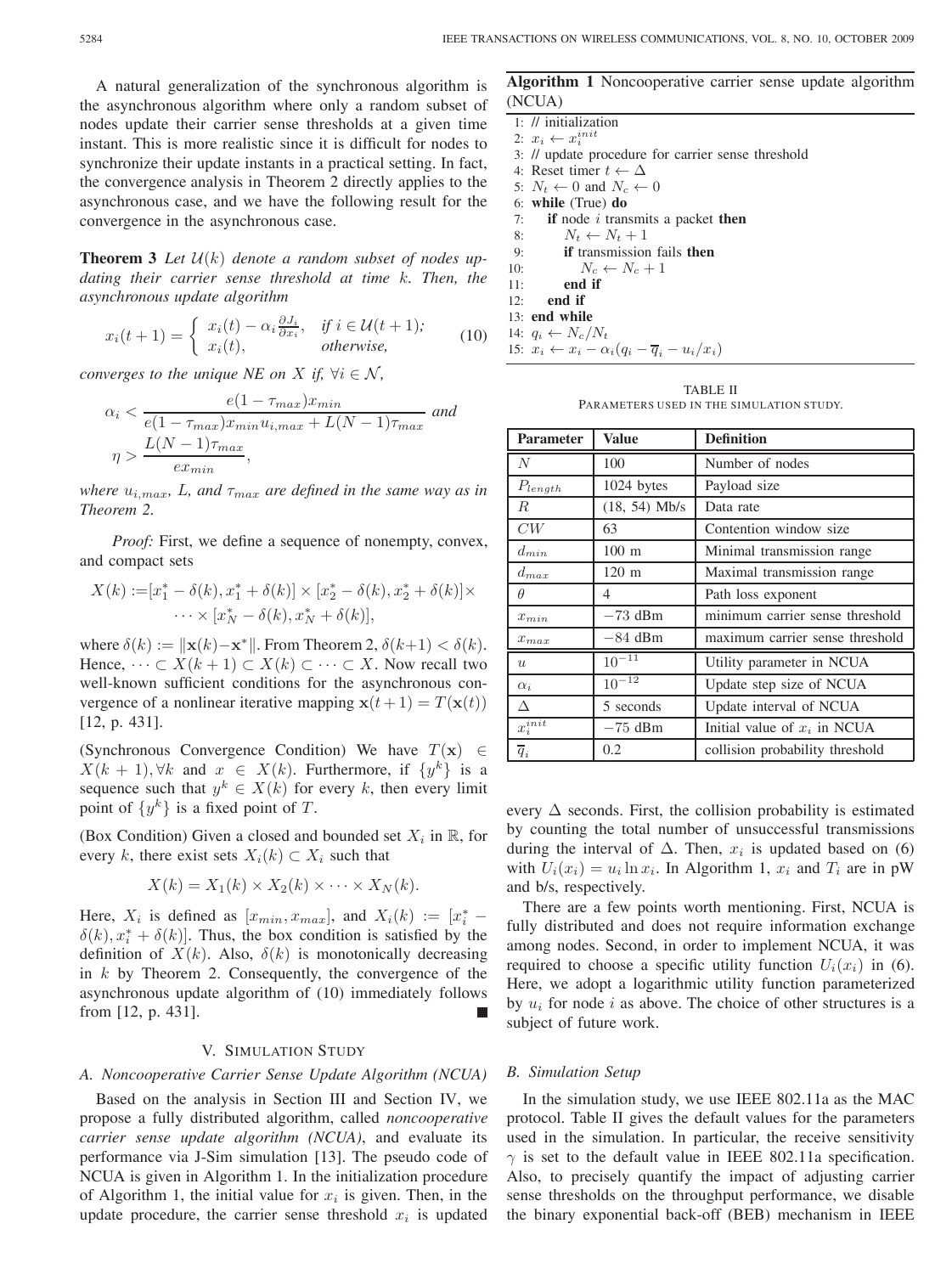A natural generalization of the synchronous algorithm is the asynchronous algorithm where only a random subset of nodes update their carrier sense thresholds at a given time instant. This is more realistic since it is difficult for nodes to synchronize their update instants in a practical setting. In fact, the convergence analysis in Theorem 2 directly applies to the asynchronous case, and we have the following result for the convergence in the asynchronous case.

**Theorem 3** Let  $U(k)$  denote a random subset of nodes up*dating their carrier sense threshold at time k. Then, the asynchronous update algorithm*

$$
x_i(t+1) = \begin{cases} x_i(t) - \alpha_i \frac{\partial J_i}{\partial x_i}, & \text{if } i \in \mathcal{U}(t+1); \\ x_i(t), & \text{otherwise,} \end{cases}
$$
(10)

*converges to the unique NE on*  $X$  *if,*  $\forall i \in \mathcal{N}$ ,

$$
\alpha_i < \frac{e(1 - \tau_{max})x_{min}}{e(1 - \tau_{max})x_{min}u_{i,max} + L(N - 1)\tau_{max}} \text{ and}
$$
\n
$$
\eta > \frac{L(N - 1)\tau_{max}}{ex_{min}},
$$

*where*  $u_{i,max}$ , L, and  $\tau_{max}$  are defined in the same way as in *Theorem 2.*

*Proof:* First, we define a sequence of nonempty, convex, and compact sets

$$
X(k) := [x_1^* - \delta(k), x_1^* + \delta(k)] \times [x_2^* - \delta(k), x_2^* + \delta(k)] \times \cdots \times [x_N^* - \delta(k), x_N^* + \delta(k)],
$$

where  $\delta(k) := ||\mathbf{x}(k) - \mathbf{x}^*||$ . From Theorem 2,  $\delta(k+1) < \delta(k)$ . Hence,  $\cdots \subset X(k+1) \subset X(k) \subset \cdots \subset X$ . Now recall two well-known sufficient conditions for the asynchronous convergence of a nonlinear iterative mapping  $\mathbf{x}(t+1) = T(\mathbf{x}(t))$ [12, p. 431].

(Synchronous Convergence Condition) We have  $T(\mathbf{x}) \in$  $X(k + 1), \forall k$  and  $x \in X(k)$ . Furthermore, if  $\{y^k\}$  is a sequence such that  $y^k \in X(k)$  for every k, then every limit point of  $\{y^k\}$  is a fixed point of T.

(Box Condition) Given a closed and bounded set  $X_i$  in ℝ, for every k, there exist sets  $X_i(k) \subset X_i$  such that

$$
X(k) = X_1(k) \times X_2(k) \times \cdots \times X_N(k).
$$

Here,  $X_i$  is defined as  $[x_{min}, x_{max}]$ , and  $X_i(k) := [x_i^* \delta(k), x_i^* + \delta(k)$ . Thus, the box condition is satisfied by the definition of  $X(k)$ . Also,  $\delta(k)$  is monotonically decreasing in  $k$  by Theorem 2. Consequently, the convergence of the asynchronous update algorithm of (10) immediately follows from [12, p. 431].

## V. SIMULATION STUDY

#### *A. Noncooperative Carrier Sense Update Algorithm (NCUA)*

Based on the analysis in Section III and Section IV, we propose a fully distributed algorithm, called *noncooperative carrier sense update algorithm (NCUA)*, and evaluate its performance via J-Sim simulation [13]. The pseudo code of NCUA is given in Algorithm 1. In the initialization procedure of Algorithm 1, the initial value for  $x_i$  is given. Then, in the update procedure, the carrier sense threshold  $x_i$  is updated

**Algorithm 1** Noncooperative carrier sense update algorithm (NCUA)

1: // initialization

2:  $x_i \leftarrow x_i^{init}$ 

- 3: // update procedure for carrier sense threshold
- 4: Reset timer  $t \leftarrow \Delta$
- 5:  $N_t \leftarrow 0$  and  $N_c \leftarrow 0$
- 6: **while** (True) **do**
- 7: **if** node  $i$  transmits a packet **then**
- 8:  $N_t \leftarrow N_t + 1$ <br>9: **if** transmission 9: **if** transmission fails **then**
- 
- 10:  $N_c \leftarrow N_c + 1$ <br>11: end if end if

12: **end if**

13: **end while**

14:  $q_i \leftarrow N_c/N_t$ 

15:  $x_i \leftarrow x_i - \alpha_i (q_i - \overline{q}_i - u_i/x_i)$ 

| TABLE II                                 |
|------------------------------------------|
| PARAMETERS USED IN THE SIMULATION STUDY. |

| <b>Parameter</b>        | Value           | <b>Definition</b>               |
|-------------------------|-----------------|---------------------------------|
| N                       | 100             | Number of nodes                 |
| $P_{length}$            | 1024 bytes      | Payload size                    |
| $_{R}$                  | $(18, 54)$ Mb/s | Data rate                       |
| CW                      | 63              | Contention window size          |
| $d_{min}$               | $100 \text{ m}$ | Minimal transmission range      |
| $d_{max}$               | 120 m           | Maximal transmission range      |
| θ                       | 4               | Path loss exponent              |
| $x_{min}$               | $-73$ dBm       | minimum carrier sense threshold |
| $x_{max}$               | $-84$ dBm       | maximum carrier sense threshold |
| $\boldsymbol{u}$        | $10^{-11}$      | Utility parameter in NCUA       |
| $\alpha_i$              | $10^{-12}$      | Update step size of NCUA        |
| Δ                       | 5 seconds       | Update interval of NCUA         |
| $\overline{x_i^{init}}$ | $-75$ dBm       | Initial value of $x_i$ in NCUA  |
| $\overline{q}_i$        | 0.2             | collision probability threshold |

every  $\Delta$  seconds. First, the collision probability is estimated by counting the total number of unsuccessful transmissions during the interval of  $\Delta$ . Then,  $x_i$  is updated based on (6) with  $U_i(x_i) = u_i \ln x_i$ . In Algorithm 1,  $x_i$  and  $T_i$  are in pW and b/s, respectively.

There are a few points worth mentioning. First, NCUA is fully distributed and does not require information exchange among nodes. Second, in order to implement NCUA, it was required to choose a specific utility function  $U_i(x_i)$  in (6). Here, we adopt a logarithmic utility function parameterized by  $u_i$  for node i as above. The choice of other structures is a subject of future work.

#### *B. Simulation Setup*

In the simulation study, we use IEEE 802.11a as the MAC protocol. Table II gives the default values for the parameters used in the simulation. In particular, the receive sensitivity  $\gamma$  is set to the default value in IEEE 802.11a specification. Also, to precisely quantify the impact of adjusting carrier sense thresholds on the throughput performance, we disable the binary exponential back-off (BEB) mechanism in IEEE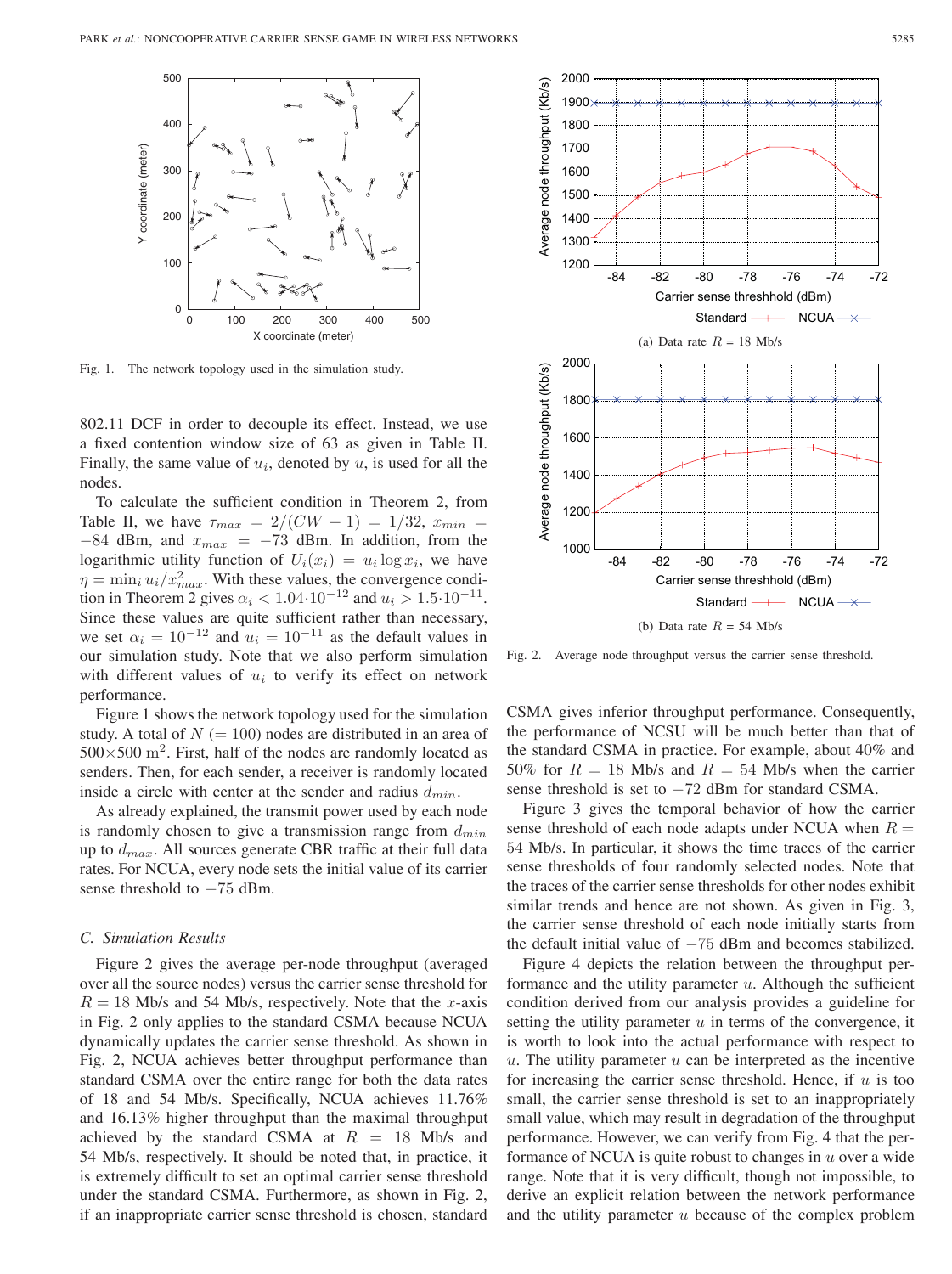

Fig. 1. The network topology used in the simulation study.

802.11 DCF in order to decouple its effect. Instead, we use a fixed contention window size of 63 as given in Table II. Finally, the same value of  $u_i$ , denoted by  $u$ , is used for all the nodes.

To calculate the sufficient condition in Theorem 2, from Table II, we have  $\tau_{max} = 2/(CW + 1) = 1/32$ ,  $x_{min} =$  $-84$  dBm, and  $x_{max} = -73$  dBm. In addition, from the logarithmic utility function of  $U_i(x_i) = u_i \log x_i$ , we have  $\eta = \min_i u_i / x_{max}^2$ . With these values, the convergence condition in Theorem 2 gives  $\alpha_i < 1.04 \cdot 10^{-12}$  and  $u_i > 1.5 \cdot 10^{-11}$ . Since these values are quite sufficient rather than necessary, we set  $\alpha_i = 10^{-12}$  and  $u_i = 10^{-11}$  as the default values in our simulation study. Note that we also perform simulation with different values of  $u_i$  to verify its effect on network performance.

Figure 1 shows the network topology used for the simulation study. A total of  $N (= 100)$  nodes are distributed in an area of  $500\times500$  m<sup>2</sup>. First, half of the nodes are randomly located as senders. Then, for each sender, a receiver is randomly located inside a circle with center at the sender and radius  $d_{min}$ .

As already explained, the transmit power used by each node is randomly chosen to give a transmission range from  $d_{min}$ up to  $d_{max}$ . All sources generate CBR traffic at their full data rates. For NCUA, every node sets the initial value of its carrier sense threshold to  $-75$  dBm.

# *C. Simulation Results*

Figure 2 gives the average per-node throughput (averaged over all the source nodes) versus the carrier sense threshold for  $R = 18$  Mb/s and 54 Mb/s, respectively. Note that the x-axis in Fig. 2 only applies to the standard CSMA because NCUA dynamically updates the carrier sense threshold. As shown in Fig. 2, NCUA achieves better throughput performance than standard CSMA over the entire range for both the data rates of 18 and 54 Mb/s. Specifically, NCUA achieves 11.76% and 16.13% higher throughput than the maximal throughput achieved by the standard CSMA at  $R = 18$  Mb/s and 54 Mb/s, respectively. It should be noted that, in practice, it is extremely difficult to set an optimal carrier sense threshold under the standard CSMA. Furthermore, as shown in Fig. 2, if an inappropriate carrier sense threshold is chosen, standard



Fig. 2. Average node throughput versus the carrier sense threshold.

CSMA gives inferior throughput performance. Consequently, the performance of NCSU will be much better than that of the standard CSMA in practice. For example, about 40% and 50% for  $R = 18$  Mb/s and  $R = 54$  Mb/s when the carrier sense threshold is set to  $-72$  dBm for standard CSMA.

Figure 3 gives the temporal behavior of how the carrier sense threshold of each node adapts under NCUA when  $R =$ 54 Mb/s. In particular, it shows the time traces of the carrier sense thresholds of four randomly selected nodes. Note that the traces of the carrier sense thresholds for other nodes exhibit similar trends and hence are not shown. As given in Fig. 3, the carrier sense threshold of each node initially starts from the default initial value of −75 dBm and becomes stabilized.

Figure 4 depicts the relation between the throughput performance and the utility parameter  $u$ . Although the sufficient condition derived from our analysis provides a guideline for setting the utility parameter  $u$  in terms of the convergence, it is worth to look into the actual performance with respect to  $u$ . The utility parameter  $u$  can be interpreted as the incentive for increasing the carrier sense threshold. Hence, if  $u$  is too small, the carrier sense threshold is set to an inappropriately small value, which may result in degradation of the throughput performance. However, we can verify from Fig. 4 that the performance of NCUA is quite robust to changes in  $u$  over a wide range. Note that it is very difficult, though not impossible, to derive an explicit relation between the network performance and the utility parameter  $u$  because of the complex problem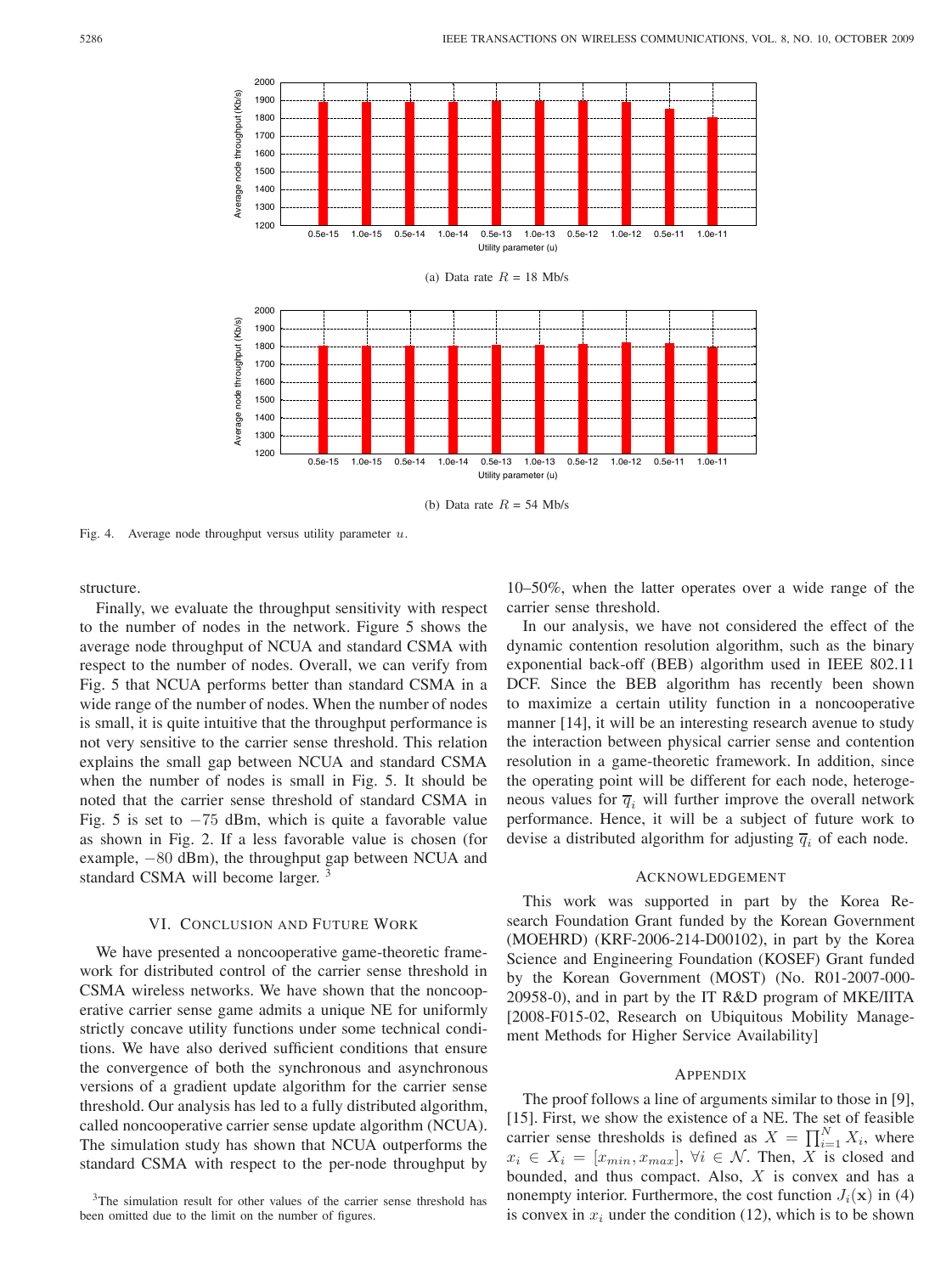





Fig. 4. Average node throughput versus utility parameter  $u$ .

structure.

Finally, we evaluate the throughput sensitivity with respect to the number of nodes in the network. Figure 5 shows the average node throughput of NCUA and standard CSMA with respect to the number of nodes. Overall, we can verify from Fig. 5 that NCUA performs better than standard CSMA in a wide range of the number of nodes. When the number of nodes is small, it is quite intuitive that the throughput performance is not very sensitive to the carrier sense threshold. This relation explains the small gap between NCUA and standard CSMA when the number of nodes is small in Fig. 5. It should be noted that the carrier sense threshold of standard CSMA in Fig. 5 is set to  $-75$  dBm, which is quite a favorable value as shown in Fig. 2. If a less favorable value is chosen (for example,  $-80$  dBm), the throughput gap between NCUA and standard CSMA will become larger.<sup>3</sup>

# VI. CONCLUSION AND FUTURE WORK

We have presented a noncooperative game-theoretic framework for distributed control of the carrier sense threshold in CSMA wireless networks. We have shown that the noncooperative carrier sense game admits a unique NE for uniformly strictly concave utility functions under some technical conditions. We have also derived sufficient conditions that ensure the convergence of both the synchronous and asynchronous versions of a gradient update algorithm for the carrier sense threshold. Our analysis has led to a fully distributed algorithm, called noncooperative carrier sense update algorithm (NCUA). The simulation study has shown that NCUA outperforms the standard CSMA with respect to the per-node throughput by

10–50%, when the latter operates over a wide range of the carrier sense threshold.

In our analysis, we have not considered the effect of the dynamic contention resolution algorithm, such as the binary exponential back-off (BEB) algorithm used in IEEE 802.11 DCF. Since the BEB algorithm has recently been shown to maximize a certain utility function in a noncooperative manner [14], it will be an interesting research avenue to study the interaction between physical carrier sense and contention resolution in a game-theoretic framework. In addition, since the operating point will be different for each node, heterogeneous values for  $\overline{q}_i$  will further improve the overall network performance. Hence, it will be a subject of future work to devise a distributed algorithm for adjusting  $\overline{q}_i$  of each node.

## ACKNOWLEDGEMENT

This work was supported in part by the Korea Research Foundation Grant funded by the Korean Government (MOEHRD) (KRF-2006-214-D00102), in part by the Korea Science and Engineering Foundation (KOSEF) Grant funded by the Korean Government (MOST) (No. R01-2007-000- 20958-0), and in part by the IT R&D program of MKE/IITA [2008-F015-02, Research on Ubiquitous Mobility Management Methods for Higher Service Availability]

## APPENDIX

The proof follows a line of arguments similar to those in [9], [15]. First, we show the existence of a NE. The set of feasible carrier sense thresholds is defined as  $X = \prod_{i=1}^{N} X_i$ , where  $x_i \in X_i = [x_{min}, x_{max}], \forall i \in \mathcal{N}$ . Then, X is closed and bounded, and thus compact. Also,  $X$  is convex and has a nonempty interior. Furthermore, the cost function  $J_i(\mathbf{x})$  in (4) is convex in  $x_i$  under the condition (12), which is to be shown

<sup>3</sup>The simulation result for other values of the carrier sense threshold has been omitted due to the limit on the number of figures.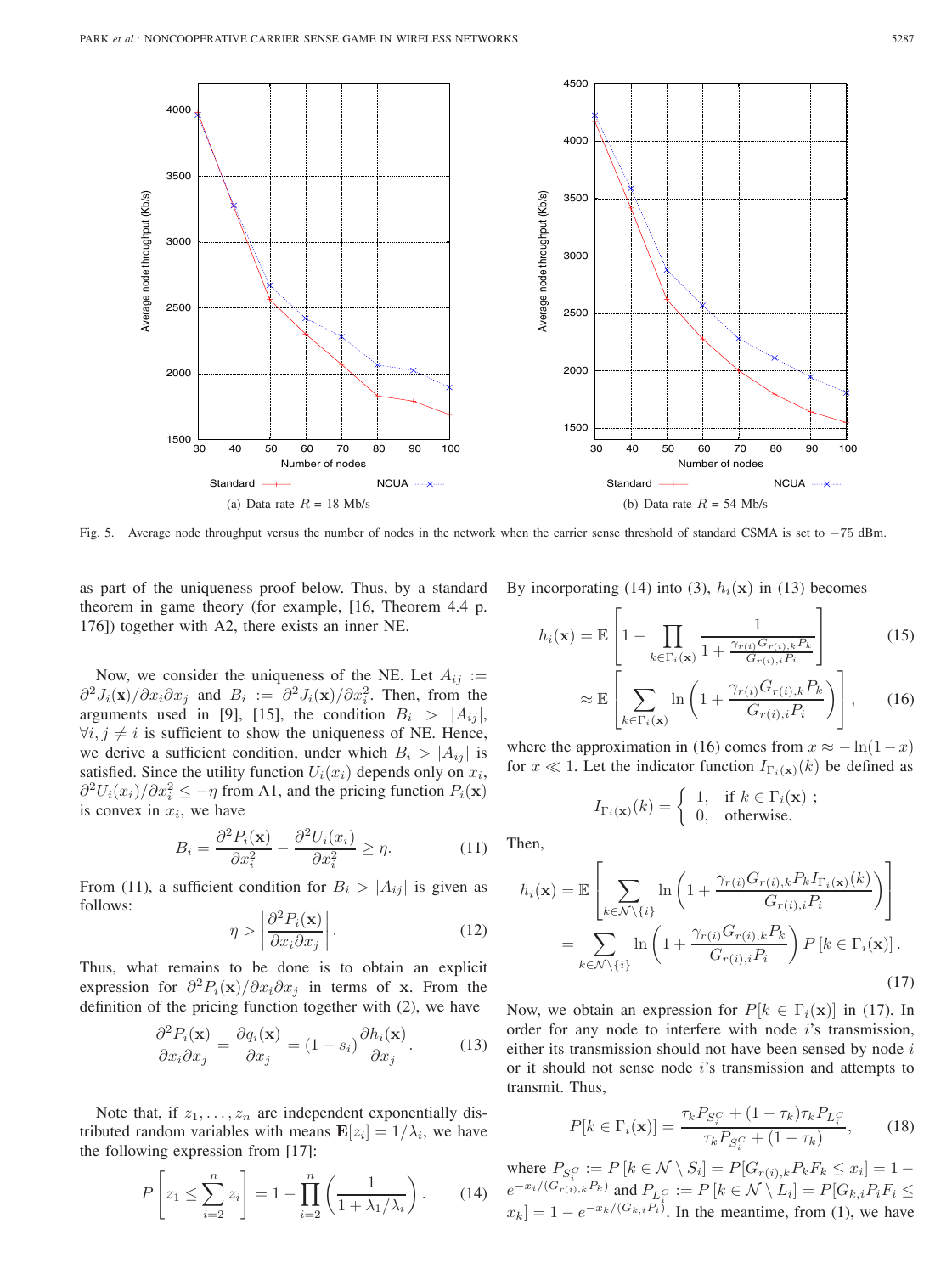

Fig. 5. Average node throughput versus the number of nodes in the network when the carrier sense threshold of standard CSMA is set to −75 dBm.

as part of the uniqueness proof below. Thus, by a standard theorem in game theory (for example, [16, Theorem 4.4 p. 176]) together with A2, there exists an inner NE.

Now, we consider the uniqueness of the NE. Let  $A_{ij}$  :=  $\partial^2 J_i(\mathbf{x})/\partial x_i \partial x_j$  and  $B_i := \partial^2 J_i(\mathbf{x})/\partial x_i^2$ . Then, from the arguments used in [9], [15], the condition  $B_i > |A_{ij}|$ ,  $\forall i, j \neq i$  is sufficient to show the uniqueness of NE. Hence, we derive a sufficient condition, under which  $B_i > |A_{ij}|$  is satisfied. Since the utility function  $U_i(x_i)$  depends only on  $x_i$ ,  $\frac{\partial^2 U_i(x_i)}{\partial x_i^2} \leq -\eta$  from A1, and the pricing function  $P_i(\mathbf{x})$ is convex in  $x_i$ , we have

$$
B_i = \frac{\partial^2 P_i(\mathbf{x})}{\partial x_i^2} - \frac{\partial^2 U_i(x_i)}{\partial x_i^2} \ge \eta.
$$
 (11)

From (11), a sufficient condition for  $B_i > |A_{ij}|$  is given as follows:  $\sim$ 

$$
\eta > \left| \frac{\partial^2 P_i(\mathbf{x})}{\partial x_i \partial x_j} \right|.
$$
\n(12)

Thus, what remains to be done is to obtain an explicit expression for  $\partial^2 P_i(\mathbf{x})/\partial x_i \partial x_j$  in terms of **x**. From the definition of the pricing function together with (2), we have

$$
\frac{\partial^2 P_i(\mathbf{x})}{\partial x_i \partial x_j} = \frac{\partial q_i(\mathbf{x})}{\partial x_j} = (1 - s_i) \frac{\partial h_i(\mathbf{x})}{\partial x_j}.
$$
 (13)

Note that, if  $z_1, \ldots, z_n$  are independent exponentially distributed random variables with means  $\mathbf{E}[z_i]=1/\lambda_i$ , we have the following expression from [17]:

$$
P\left[z_1 \le \sum_{i=2}^n z_i\right] = 1 - \prod_{i=2}^n \left(\frac{1}{1 + \lambda_1/\lambda_i}\right). \tag{14}
$$

By incorporating (14) into (3),  $h_i(\mathbf{x})$  in (13) becomes

$$
h_i(\mathbf{x}) = \mathbb{E}\left[1 - \prod_{k \in \Gamma_i(\mathbf{x})} \frac{1}{1 + \frac{\gamma_{r(i)} G_{r(i),k} P_k}{G_{r(i),i} P_i}}\right]
$$
(15)

$$
\approx \mathbb{E}\left[\sum_{k \in \Gamma_i(\mathbf{x})} \ln\left(1 + \frac{\gamma_{r(i)} G_{r(i),k} P_k}{G_{r(i),i} P_i}\right)\right],\qquad(16)
$$

where the approximation in (16) comes from  $x \approx -\ln(1-x)$ for  $x \ll 1$ . Let the indicator function  $I_{\Gamma_i(\mathbf{x})}(k)$  be defined as

$$
I_{\Gamma_i(\mathbf{x})}(k) = \begin{cases} 1, & \text{if } k \in \Gamma_i(\mathbf{x}) ;\\ 0, & \text{otherwise.} \end{cases}
$$

Then,

$$
h_i(\mathbf{x}) = \mathbb{E}\left[\sum_{k \in \mathcal{N}\backslash\{i\}} \ln\left(1 + \frac{\gamma_{r(i)} G_{r(i),k} P_k I_{\Gamma_i(\mathbf{x})}(k)}{G_{r(i),i} P_i}\right)\right]
$$

$$
= \sum_{k \in \mathcal{N}\backslash\{i\}} \ln\left(1 + \frac{\gamma_{r(i)} G_{r(i),k} P_k}{G_{r(i),i} P_i}\right) P\left[k \in \Gamma_i(\mathbf{x})\right].
$$
(17)

Now, we obtain an expression for  $P[k \in \Gamma_i(\mathbf{x})]$  in (17). In order for any node to interfere with node  $i$ 's transmission, either its transmission should not have been sensed by node  $i$ or it should not sense node  $i$ 's transmission and attempts to transmit. Thus,

$$
P[k \in \Gamma_i(\mathbf{x})] = \frac{\tau_k P_{S_i^C} + (1 - \tau_k)\tau_k P_{L_i^C}}{\tau_k P_{S_i^C} + (1 - \tau_k)},\qquad(18)
$$

where  $P_{S_i^C} := P[k \in \mathcal{N} \setminus S_i] = P[G_{r(i),k}P_kF_k \leq x_i] = 1$  $e^{-x_i/(G_{r(i),k}P_k)}$  and  $P_{L_i^C} := P[k \in \mathcal{N} \setminus L_i] = P[G_{k,i}P_iF_i \leq$  $[x_k] = 1 - e^{-x_k/(G_{k,i}P_i)}$ . In the meantime, from (1), we have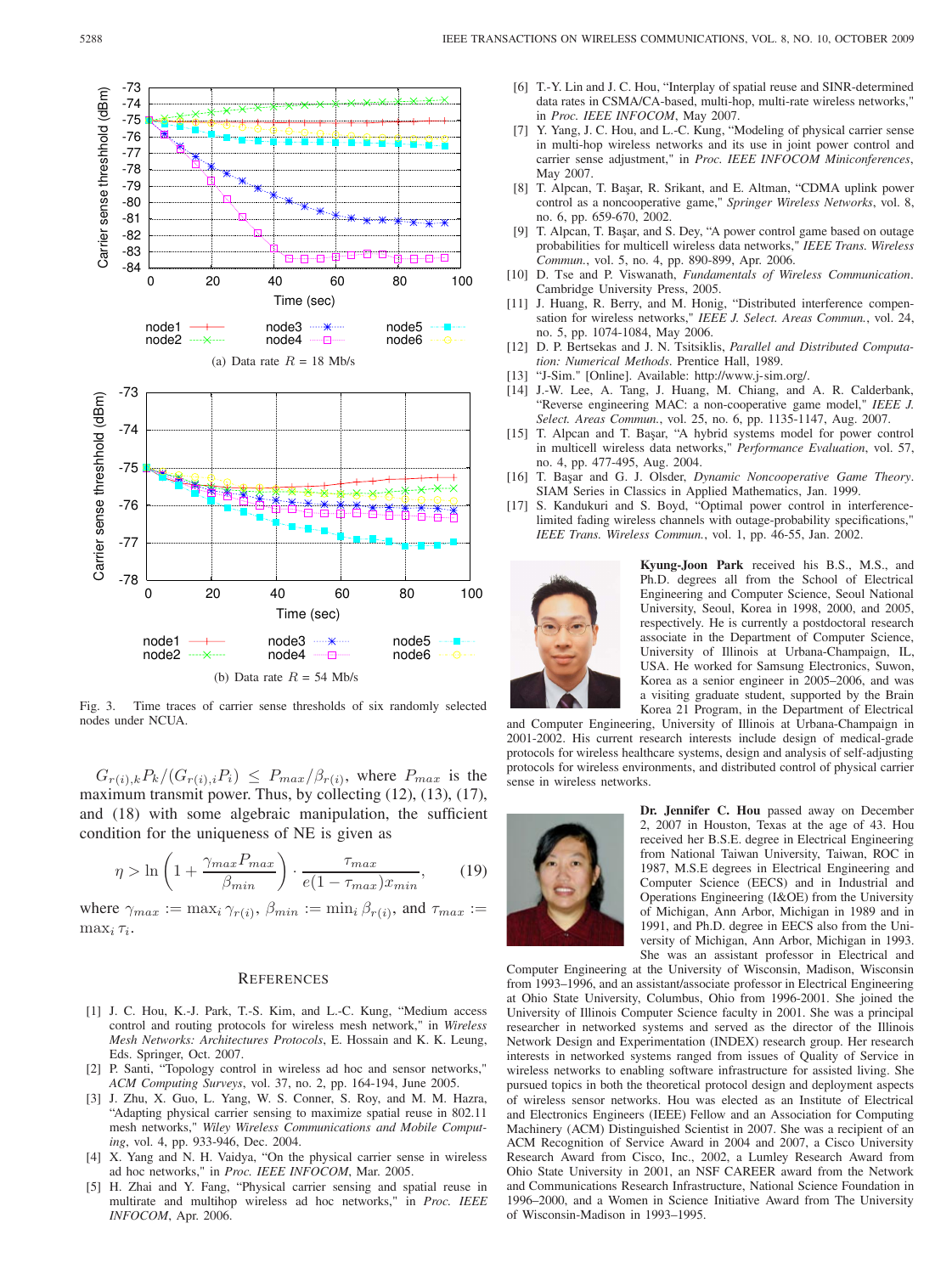

Fig. 3. Time traces of carrier sense thresholds of six randomly selected nodes under NCUA.

 $G_{r(i),k}P_k/(G_{r(i),i}P_i) \leq P_{max}/\beta_{r(i)}$ , where  $P_{max}$  is the maximum transmit power. Thus, by collecting (12), (13), (17), and (18) with some algebraic manipulation, the sufficient condition for the uniqueness of NE is given as

$$
\eta > \ln\left(1 + \frac{\gamma_{max} P_{max}}{\beta_{min}}\right) \cdot \frac{\tau_{max}}{e(1 - \tau_{max}) x_{min}},\qquad(19)
$$

where  $\gamma_{max} := \max_i \gamma_{r(i)}, \beta_{min} := \min_i \beta_{r(i)}$ , and  $\tau_{max} :=$  $\max_i \tau_i$ .

#### **REFERENCES**

- [1] J. C. Hou, K.-J. Park, T.-S. Kim, and L.-C. Kung, "Medium access control and routing protocols for wireless mesh network," in *Wireless Mesh Networks: Architectures Protocols*, E. Hossain and K. K. Leung, Eds. Springer, Oct. 2007.
- [2] P. Santi, "Topology control in wireless ad hoc and sensor networks," *ACM Computing Surveys*, vol. 37, no. 2, pp. 164-194, June 2005.
- [3] J. Zhu, X. Guo, L. Yang, W. S. Conner, S. Roy, and M. M. Hazra, "Adapting physical carrier sensing to maximize spatial reuse in 802.11 mesh networks," *Wiley Wireless Communications and Mobile Computing*, vol. 4, pp. 933-946, Dec. 2004.
- [4] X. Yang and N. H. Vaidya, "On the physical carrier sense in wireless ad hoc networks," in *Proc. IEEE INFOCOM*, Mar. 2005.
- [5] H. Zhai and Y. Fang, "Physical carrier sensing and spatial reuse in multirate and multihop wireless ad hoc networks," in *Proc. IEEE INFOCOM*, Apr. 2006.
- [6] T.-Y. Lin and J. C. Hou, "Interplay of spatial reuse and SINR-determined data rates in CSMA/CA-based, multi-hop, multi-rate wireless networks," in *Proc. IEEE INFOCOM*, May 2007.
- [7] Y. Yang, J. C. Hou, and L.-C. Kung, "Modeling of physical carrier sense in multi-hop wireless networks and its use in joint power control and carrier sense adjustment," in *Proc. IEEE INFOCOM Miniconferences*, May 2007.
- [8] T. Alpcan, T. Başar, R. Srikant, and E. Altman, "CDMA uplink power control as a noncooperative game," *Springer Wireless Networks*, vol. 8, no. 6, pp. 659-670, 2002.
- [9] T. Alpcan, T. Başar, and S. Dey, "A power control game based on outage probabilities for multicell wireless data networks," *IEEE Trans. Wireless Commun.*, vol. 5, no. 4, pp. 890-899, Apr. 2006.
- [10] D. Tse and P. Viswanath, *Fundamentals of Wireless Communication*. Cambridge University Press, 2005.
- [11] J. Huang, R. Berry, and M. Honig, "Distributed interference compensation for wireless networks," *IEEE J. Select. Areas Commun.*, vol. 24, no. 5, pp. 1074-1084, May 2006.
- [12] D. P. Bertsekas and J. N. Tsitsiklis, *Parallel and Distributed Computation: Numerical Methods*. Prentice Hall, 1989.
- [13] "J-Sim." [Online]. Available: http://www.j-sim.org/.
- [14] J.-W. Lee, A. Tang, J. Huang, M. Chiang, and A. R. Calderbank, "Reverse engineering MAC: a non-cooperative game model," *IEEE J. Select. Areas Commun.*, vol. 25, no. 6, pp. 1135-1147, Aug. 2007.
- [15] T. Alpcan and T. Başar, "A hybrid systems model for power control in multicell wireless data networks," *Performance Evaluation*, vol. 57, no. 4, pp. 477-495, Aug. 2004.
- [16] T. Ba¸sar and G. J. Olsder, *Dynamic Noncooperative Game Theory*. SIAM Series in Classics in Applied Mathematics, Jan. 1999.
- [17] S. Kandukuri and S. Boyd, "Optimal power control in interferencelimited fading wireless channels with outage-probability specifications," *IEEE Trans. Wireless Commun.*, vol. 1, pp. 46-55, Jan. 2002.



**Kyung-Joon Park** received his B.S., M.S., and Ph.D. degrees all from the School of Electrical Engineering and Computer Science, Seoul National University, Seoul, Korea in 1998, 2000, and 2005, respectively. He is currently a postdoctoral research associate in the Department of Computer Science, University of Illinois at Urbana-Champaign, IL, USA. He worked for Samsung Electronics, Suwon, Korea as a senior engineer in 2005–2006, and was a visiting graduate student, supported by the Brain Korea 21 Program, in the Department of Electrical

and Computer Engineering, University of Illinois at Urbana-Champaign in 2001-2002. His current research interests include design of medical-grade protocols for wireless healthcare systems, design and analysis of self-adjusting protocols for wireless environments, and distributed control of physical carrier sense in wireless networks.



**Dr. Jennifer C. Hou** passed away on December 2, 2007 in Houston, Texas at the age of 43. Hou received her B.S.E. degree in Electrical Engineering from National Taiwan University, Taiwan, ROC in 1987, M.S.E degrees in Electrical Engineering and Computer Science (EECS) and in Industrial and Operations Engineering (I&OE) from the University of Michigan, Ann Arbor, Michigan in 1989 and in 1991, and Ph.D. degree in EECS also from the University of Michigan, Ann Arbor, Michigan in 1993. She was an assistant professor in Electrical and

Computer Engineering at the University of Wisconsin, Madison, Wisconsin from 1993–1996, and an assistant/associate professor in Electrical Engineering at Ohio State University, Columbus, Ohio from 1996-2001. She joined the University of Illinois Computer Science faculty in 2001. She was a principal researcher in networked systems and served as the director of the Illinois Network Design and Experimentation (INDEX) research group. Her research interests in networked systems ranged from issues of Quality of Service in wireless networks to enabling software infrastructure for assisted living. She pursued topics in both the theoretical protocol design and deployment aspects of wireless sensor networks. Hou was elected as an Institute of Electrical and Electronics Engineers (IEEE) Fellow and an Association for Computing Machinery (ACM) Distinguished Scientist in 2007. She was a recipient of an ACM Recognition of Service Award in 2004 and 2007, a Cisco University Research Award from Cisco, Inc., 2002, a Lumley Research Award from Ohio State University in 2001, an NSF CAREER award from the Network and Communications Research Infrastructure, National Science Foundation in 1996–2000, and a Women in Science Initiative Award from The University of Wisconsin-Madison in 1993–1995.